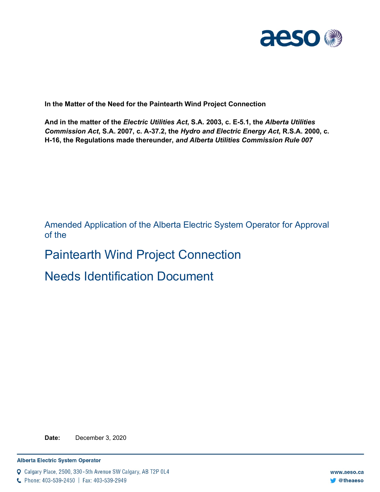

**In the Matter of the Need for the Paintearth Wind Project Connection**

**And in the matter of the** *Electric Utilities Act***, S.A. 2003, c. E-5.1, the** *Alberta Utilities Commission Act***, S.A. 2007, c. A-37.2, the** *Hydro and Electric Energy Act***, R.S.A. 2000, c. H-16, the Regulations made thereunder,** *and Alberta Utilities Commission Rule 007*

Amended Application of the Alberta Electric System Operator for Approval of the

# Paintearth Wind Project Connection

# Needs Identification Document

**Date:** December 3, 2020

Q Calgary Place, 2500, 330-5th Avenue SW Calgary, AB T2P 0L4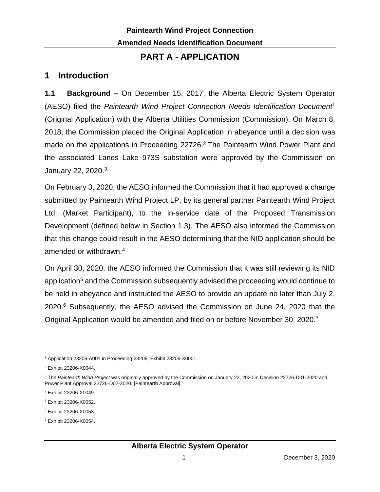### **PART A - APPLICATION**

# **1 Introduction**

**1.1 Background –** On December 15, 2017, the Alberta Electric System Operator (AESO) filed the *Paintearth Wind Project Connection Needs Identification Document*<sup>1</sup> (Original Application) with the Alberta Utilities Commission (Commission). On March 8, 2018, the Commission placed the Original Application in abeyance until a decision was made on the applications in Proceeding 22726. <sup>2</sup> The Paintearth Wind Power Plant and the associated Lanes Lake 973S substation were approved by the Commission on January 22, 2020.<sup>3</sup>

On February 3, 2020, the AESO informed the Commission that it had approved a change submitted by Paintearth Wind Project LP, by its general partner Paintearth Wind Project Ltd. (Market Participant), to the in-service date of the Proposed Transmission Development (defined below in Section 1.3). The AESO also informed the Commission that this change could result in the AESO determining that the NID application should be amended or withdrawn. 4

On April 30, 2020, the AESO informed the Commission that it was still reviewing its NID application<sup>5</sup> and the Commission subsequently advised the proceeding would continue to be held in abeyance and instructed the AESO to provide an update no later than July 2, 2020.<sup>6</sup> Subsequently, the AESO advised the Commission on June 24, 2020 that the Original Application would be amended and filed on or before November 30, 2020.<sup>7</sup>

<sup>7</sup> Exhibit 23206-X0054.

<sup>1</sup> Application 23206-A001 in Proceeding 23206, Exhibit 23206-X0001.

<sup>2</sup> Exhibit 23206-X0044.

<sup>3</sup> The *Paintearth Wind Project* was originally approved by the Commission on January 22, 2020 in Decision 22726-D01-2020 and Power Plant Approval 22726-D02-2020. [Paintearth Approval].

<sup>4</sup> Exhibit 23206-X0049.

<sup>5</sup> Exhibit 23206-X0052.

<sup>6</sup> Exhibit 23206-X0053.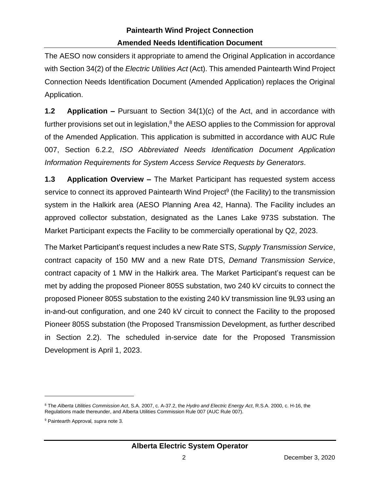The AESO now considers it appropriate to amend the Original Application in accordance with Section 34(2) of the *Electric Utilities Act* (Act). This amended Paintearth Wind Project Connection Needs Identification Document (Amended Application) replaces the Original Application.

**1.2 Application –** Pursuant to Section 34(1)(c) of the Act, and in accordance with further provisions set out in legislation, $8$  the AESO applies to the Commission for approval of the Amended Application. This application is submitted in accordance with AUC Rule 007, Section 6.2.2, *ISO Abbreviated Needs Identification Document Application Information Requirements for System Access Service Requests by Generators*.

**1.3 Application Overview –** The Market Participant has requested system access service to connect its approved Paintearth Wind Project<sup>9</sup> (the Facility) to the transmission system in the Halkirk area (AESO Planning Area 42, Hanna). The Facility includes an approved collector substation, designated as the Lanes Lake 973S substation. The Market Participant expects the Facility to be commercially operational by Q2, 2023.

The Market Participant's request includes a new Rate STS, *Supply Transmission Service*, contract capacity of 150 MW and a new Rate DTS, *Demand Transmission Service*, contract capacity of 1 MW in the Halkirk area. The Market Participant's request can be met by adding the proposed Pioneer 805S substation, two 240 kV circuits to connect the proposed Pioneer 805S substation to the existing 240 kV transmission line 9L93 using an in-and-out configuration, and one 240 kV circuit to connect the Facility to the proposed Pioneer 805S substation (the Proposed Transmission Development, as further described in Section 2.2). The scheduled in-service date for the Proposed Transmission Development is April 1, 2023.

<sup>8</sup> The *Alberta Utilities Commission Act*, S.A. 2007, c. A-37.2, the *Hydro and Electric Energy Act*, R.S.A. 2000, c. H-16, the Regulations made thereunder, and Alberta Utilities Commission Rule 007 (AUC Rule 007).

<sup>9</sup> Paintearth Approval*, supra* note 3.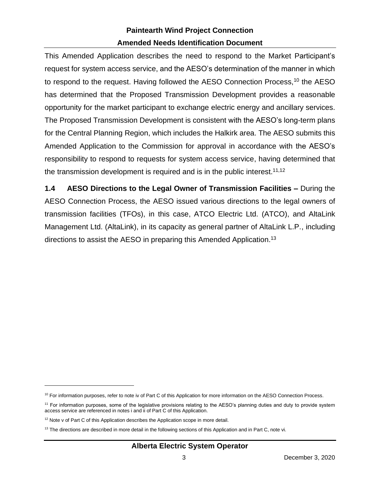This Amended Application describes the need to respond to the Market Participant's request for system access service, and the AESO's determination of the manner in which to respond to the request. Having followed the AESO Connection Process,<sup>10</sup> the AESO has determined that the Proposed Transmission Development provides a reasonable opportunity for the market participant to exchange electric energy and ancillary services. The Proposed Transmission Development is consistent with the AESO's long-term plans for the Central Planning Region, which includes the Halkirk area. The AESO submits this Amended Application to the Commission for approval in accordance with the AESO's responsibility to respond to requests for system access service, having determined that the transmission development is required and is in the public interest.<sup>11,12</sup>

**1.4 AESO Directions to the Legal Owner of Transmission Facilities –** During the AESO Connection Process, the AESO issued various directions to the legal owners of transmission facilities (TFOs), in this case, ATCO Electric Ltd. (ATCO), and AltaLink Management Ltd. (AltaLink), in its capacity as general partner of AltaLink L.P., including directions to assist the AESO in preparing this Amended Application.<sup>13</sup>

#### **Alberta Electric System Operator**

<sup>&</sup>lt;sup>10</sup> For information purposes, refer to note iv of Part C of this Application for more information on the AESO Connection Process.

<sup>&</sup>lt;sup>11</sup> For information purposes, some of the legislative provisions relating to the AESO's planning duties and duty to provide system access service are referenced in notes i and ii of Part C of this Application.

 $12$  Note v of Part C of this Application describes the Application scope in more detail.

 $13$  The directions are described in more detail in the following sections of this Application and in Part C, note vi.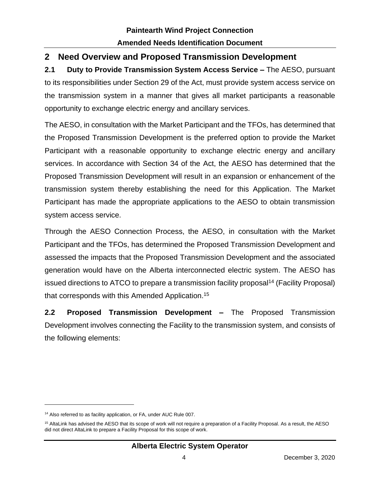# **2 Need Overview and Proposed Transmission Development**

**2.1 Duty to Provide Transmission System Access Service –** The AESO, pursuant to its responsibilities under Section 29 of the Act, must provide system access service on the transmission system in a manner that gives all market participants a reasonable opportunity to exchange electric energy and ancillary services.

The AESO, in consultation with the Market Participant and the TFOs, has determined that the Proposed Transmission Development is the preferred option to provide the Market Participant with a reasonable opportunity to exchange electric energy and ancillary services. In accordance with Section 34 of the Act, the AESO has determined that the Proposed Transmission Development will result in an expansion or enhancement of the transmission system thereby establishing the need for this Application. The Market Participant has made the appropriate applications to the AESO to obtain transmission system access service.

Through the AESO Connection Process, the AESO, in consultation with the Market Participant and the TFOs, has determined the Proposed Transmission Development and assessed the impacts that the Proposed Transmission Development and the associated generation would have on the Alberta interconnected electric system. The AESO has issued directions to ATCO to prepare a transmission facility proposal<sup>14</sup> (Facility Proposal) that corresponds with this Amended Application.<sup>15</sup>

**2.2 Proposed Transmission Development –** The Proposed Transmission Development involves connecting the Facility to the transmission system, and consists of the following elements:

#### **Alberta Electric System Operator**

<sup>&</sup>lt;sup>14</sup> Also referred to as facility application, or FA, under AUC Rule 007.

<sup>&</sup>lt;sup>15</sup> AltaLink has advised the AESO that its scope of work will not require a preparation of a Facility Proposal. As a result, the AESO did not direct AltaLink to prepare a Facility Proposal for this scope of work.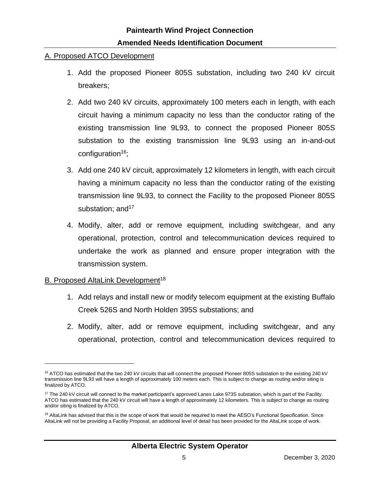#### A. Proposed ATCO Development

- 1. Add the proposed Pioneer 805S substation, including two 240 kV circuit breakers;
- 2. Add two 240 kV circuits, approximately 100 meters each in length, with each circuit having a minimum capacity no less than the conductor rating of the existing transmission line 9L93, to connect the proposed Pioneer 805S substation to the existing transmission line 9L93 using an in-and-out configuration $16$ ;
- 3. Add one 240 kV circuit, approximately 12 kilometers in length, with each circuit having a minimum capacity no less than the conductor rating of the existing transmission line 9L93, to connect the Facility to the proposed Pioneer 805S substation; and  $17$
- 4. Modify, alter, add or remove equipment, including switchgear, and any operational, protection, control and telecommunication devices required to undertake the work as planned and ensure proper integration with the transmission system.

#### B. Proposed AltaLink Development<sup>18</sup>

- 1. Add relays and install new or modify telecom equipment at the existing Buffalo Creek 526S and North Holden 395S substations; and
- 2. Modify, alter, add or remove equipment, including switchgear, and any operational, protection, control and telecommunication devices required to

<sup>&</sup>lt;sup>16</sup> ATCO has estimated that the two 240 kV circuits that will connect the proposed Pioneer 805S substation to the existing 240 kV transmission line 9L93 will have a length of approximately 100 meters each. This is subject to change as routing and/or siting is finalized by ATCO.

 $17$  The 240 kV circuit will connect to the market participant's approved Lanes Lake 973S substation, which is part of the Facility. ATCO has estimated that the 240 kV circuit will have a length of approximately 12 kilometers. This is subject to change as routing and/or siting is finalized by ATCO.

<sup>&</sup>lt;sup>18</sup> AltaLink has advised that this is the scope of work that would be required to meet the AESO's Functional Specification. Since AltaLink will not be providing a Facility Proposal, an additional level of detail has been provided for the AltaLink scope of work.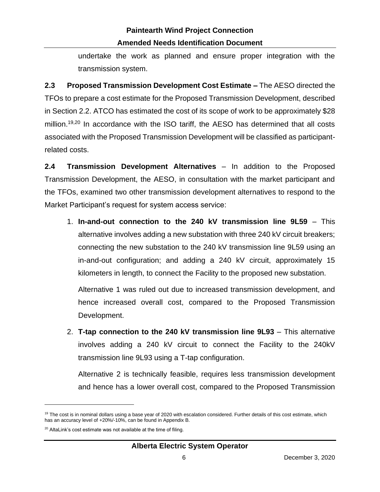undertake the work as planned and ensure proper integration with the transmission system.

**2.3 Proposed Transmission Development Cost Estimate –** The AESO directed the TFOs to prepare a cost estimate for the Proposed Transmission Development, described in Section 2.2. ATCO has estimated the cost of its scope of work to be approximately \$28 million.<sup>19,20</sup> In accordance with the ISO tariff, the AESO has determined that all costs associated with the Proposed Transmission Development will be classified as participantrelated costs.

**2.4 Transmission Development Alternatives** – In addition to the Proposed Transmission Development, the AESO, in consultation with the market participant and the TFOs, examined two other transmission development alternatives to respond to the Market Participant's request for system access service:

1. **In-and-out connection to the 240 kV transmission line 9L59** – This alternative involves adding a new substation with three 240 kV circuit breakers; connecting the new substation to the 240 kV transmission line 9L59 using an in-and-out configuration; and adding a 240 kV circuit, approximately 15 kilometers in length, to connect the Facility to the proposed new substation.

Alternative 1 was ruled out due to increased transmission development, and hence increased overall cost, compared to the Proposed Transmission Development.

2. **T-tap connection to the 240 kV transmission line 9L93** – This alternative involves adding a 240 kV circuit to connect the Facility to the 240kV transmission line 9L93 using a T-tap configuration.

Alternative 2 is technically feasible, requires less transmission development and hence has a lower overall cost, compared to the Proposed Transmission

 $19$  The cost is in nominal dollars using a base year of 2020 with escalation considered. Further details of this cost estimate, which has an accuracy level of +20%/-10%, can be found in Appendix B.

 $20$  AltaLink's cost estimate was not available at the time of filing.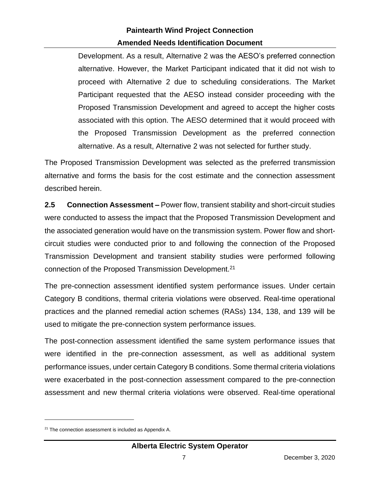Development. As a result, Alternative 2 was the AESO's preferred connection alternative. However, the Market Participant indicated that it did not wish to proceed with Alternative 2 due to scheduling considerations. The Market Participant requested that the AESO instead consider proceeding with the Proposed Transmission Development and agreed to accept the higher costs associated with this option. The AESO determined that it would proceed with the Proposed Transmission Development as the preferred connection alternative. As a result, Alternative 2 was not selected for further study.

The Proposed Transmission Development was selected as the preferred transmission alternative and forms the basis for the cost estimate and the connection assessment described herein.

**2.5 Connection Assessment –** Power flow, transient stability and short-circuit studies were conducted to assess the impact that the Proposed Transmission Development and the associated generation would have on the transmission system. Power flow and shortcircuit studies were conducted prior to and following the connection of the Proposed Transmission Development and transient stability studies were performed following connection of the Proposed Transmission Development.<sup>21</sup>

The pre-connection assessment identified system performance issues. Under certain Category B conditions, thermal criteria violations were observed. Real-time operational practices and the planned remedial action schemes (RASs) 134, 138, and 139 will be used to mitigate the pre-connection system performance issues.

The post-connection assessment identified the same system performance issues that were identified in the pre-connection assessment, as well as additional system performance issues, under certain Category B conditions. Some thermal criteria violations were exacerbated in the post-connection assessment compared to the pre-connection assessment and new thermal criteria violations were observed. Real-time operational

<sup>&</sup>lt;sup>21</sup> The connection assessment is included as Appendix A.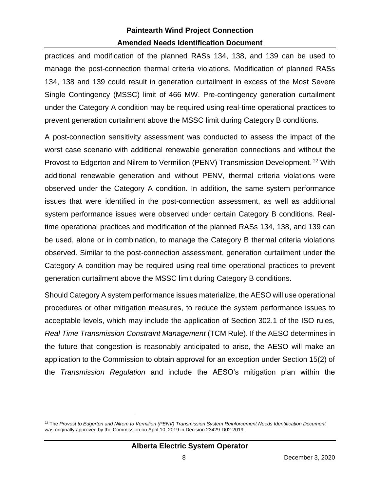practices and modification of the planned RASs 134, 138, and 139 can be used to manage the post-connection thermal criteria violations. Modification of planned RASs 134, 138 and 139 could result in generation curtailment in excess of the Most Severe Single Contingency (MSSC) limit of 466 MW. Pre-contingency generation curtailment under the Category A condition may be required using real-time operational practices to prevent generation curtailment above the MSSC limit during Category B conditions.

A post-connection sensitivity assessment was conducted to assess the impact of the worst case scenario with additional renewable generation connections and without the Provost to Edgerton and Nilrem to Vermilion (PENV) Transmission Development.<sup>22</sup> With additional renewable generation and without PENV, thermal criteria violations were observed under the Category A condition. In addition, the same system performance issues that were identified in the post-connection assessment, as well as additional system performance issues were observed under certain Category B conditions. Realtime operational practices and modification of the planned RASs 134, 138, and 139 can be used, alone or in combination, to manage the Category B thermal criteria violations observed. Similar to the post-connection assessment, generation curtailment under the Category A condition may be required using real-time operational practices to prevent generation curtailment above the MSSC limit during Category B conditions.

Should Category A system performance issues materialize, the AESO will use operational procedures or other mitigation measures, to reduce the system performance issues to acceptable levels, which may include the application of Section 302.1 of the ISO rules, *Real Time Transmission Constraint Management* (TCM Rule). If the AESO determines in the future that congestion is reasonably anticipated to arise, the AESO will make an application to the Commission to obtain approval for an exception under Section 15(2) of the *Transmission Regulation* and include the AESO's mitigation plan within the

<sup>22</sup> The *Provost to Edgerton and Nilrem to Vermilion (PENV) Transmission System Reinforcement Needs Identification Document* was originally approved by the Commission on April 10, 2019 in Decision 23429-D02-2019.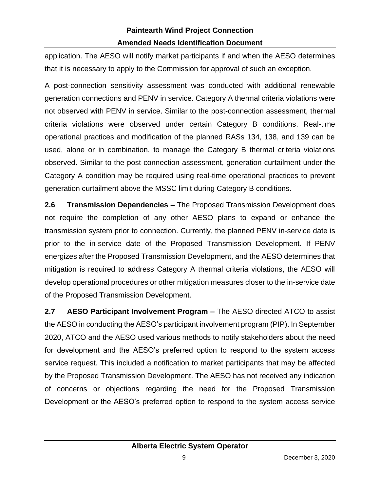application. The AESO will notify market participants if and when the AESO determines that it is necessary to apply to the Commission for approval of such an exception.

A post-connection sensitivity assessment was conducted with additional renewable generation connections and PENV in service. Category A thermal criteria violations were not observed with PENV in service. Similar to the post-connection assessment, thermal criteria violations were observed under certain Category B conditions. Real-time operational practices and modification of the planned RASs 134, 138, and 139 can be used, alone or in combination, to manage the Category B thermal criteria violations observed. Similar to the post-connection assessment, generation curtailment under the Category A condition may be required using real-time operational practices to prevent generation curtailment above the MSSC limit during Category B conditions.

**2.6 Transmission Dependencies –** The Proposed Transmission Development does not require the completion of any other AESO plans to expand or enhance the transmission system prior to connection. Currently, the planned PENV in-service date is prior to the in-service date of the Proposed Transmission Development. If PENV energizes after the Proposed Transmission Development, and the AESO determines that mitigation is required to address Category A thermal criteria violations, the AESO will develop operational procedures or other mitigation measures closer to the in-service date of the Proposed Transmission Development.

**2.7 AESO Participant Involvement Program –** The AESO directed ATCO to assist the AESO in conducting the AESO's participant involvement program (PIP). In September 2020, ATCO and the AESO used various methods to notify stakeholders about the need for development and the AESO's preferred option to respond to the system access service request. This included a notification to market participants that may be affected by the Proposed Transmission Development. The AESO has not received any indication of concerns or objections regarding the need for the Proposed Transmission Development or the AESO's preferred option to respond to the system access service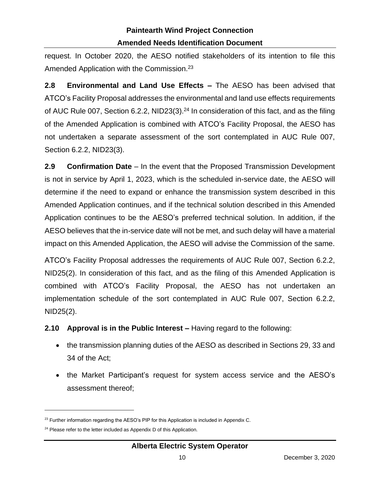request. In October 2020, the AESO notified stakeholders of its intention to file this Amended Application with the Commission.<sup>23</sup>

**2.8 Environmental and Land Use Effects –** The AESO has been advised that ATCO's Facility Proposal addresses the environmental and land use effects requirements of AUC Rule 007, Section 6.2.2, NID23(3).<sup>24</sup> In consideration of this fact, and as the filing of the Amended Application is combined with ATCO's Facility Proposal, the AESO has not undertaken a separate assessment of the sort contemplated in AUC Rule 007, Section 6.2.2, NID23(3).

**2.9 Confirmation Date** – In the event that the Proposed Transmission Development is not in service by April 1, 2023, which is the scheduled in-service date, the AESO will determine if the need to expand or enhance the transmission system described in this Amended Application continues, and if the technical solution described in this Amended Application continues to be the AESO's preferred technical solution. In addition, if the AESO believes that the in-service date will not be met, and such delay will have a material impact on this Amended Application, the AESO will advise the Commission of the same.

ATCO's Facility Proposal addresses the requirements of AUC Rule 007, Section 6.2.2, NID25(2). In consideration of this fact, and as the filing of this Amended Application is combined with ATCO's Facility Proposal, the AESO has not undertaken an implementation schedule of the sort contemplated in AUC Rule 007, Section 6.2.2, NID25(2).

**2.10 Approval is in the Public Interest –** Having regard to the following:

- the transmission planning duties of the AESO as described in Sections 29, 33 and 34 of the Act;
- the Market Participant's request for system access service and the AESO's assessment thereof;

<sup>&</sup>lt;sup>23</sup> Further information regarding the AESO's PIP for this Application is included in Appendix C.

<sup>&</sup>lt;sup>24</sup> Please refer to the letter included as Appendix D of this Application.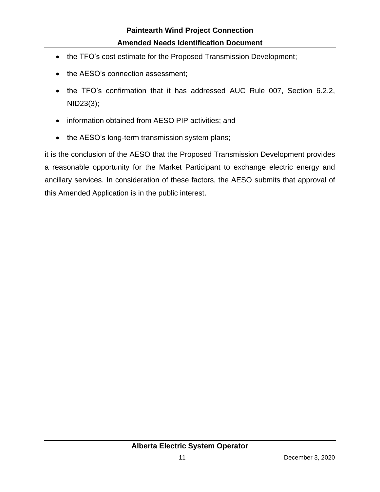- the TFO's cost estimate for the Proposed Transmission Development;
- the AESO's connection assessment;
- the TFO's confirmation that it has addressed AUC Rule 007, Section 6.2.2, NID23(3);
- information obtained from AESO PIP activities; and
- the AESO's long-term transmission system plans;

it is the conclusion of the AESO that the Proposed Transmission Development provides a reasonable opportunity for the Market Participant to exchange electric energy and ancillary services. In consideration of these factors, the AESO submits that approval of this Amended Application is in the public interest.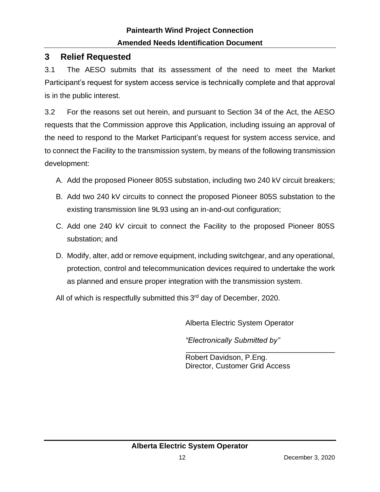# **3 Relief Requested**

3.1 The AESO submits that its assessment of the need to meet the Market Participant's request for system access service is technically complete and that approval is in the public interest.

3.2 For the reasons set out herein, and pursuant to Section 34 of the Act, the AESO requests that the Commission approve this Application, including issuing an approval of the need to respond to the Market Participant's request for system access service, and to connect the Facility to the transmission system, by means of the following transmission development:

- A. Add the proposed Pioneer 805S substation, including two 240 kV circuit breakers;
- B. Add two 240 kV circuits to connect the proposed Pioneer 805S substation to the existing transmission line 9L93 using an in-and-out configuration;
- C. Add one 240 kV circuit to connect the Facility to the proposed Pioneer 805S substation; and
- D. Modify, alter, add or remove equipment, including switchgear, and any operational, protection, control and telecommunication devices required to undertake the work as planned and ensure proper integration with the transmission system.

All of which is respectfully submitted this 3<sup>rd</sup> day of December, 2020.

Alberta Electric System Operator

*"Electronically Submitted by"*

\_\_\_\_\_\_\_\_\_\_\_\_\_\_\_\_\_\_\_\_\_\_\_\_\_\_\_\_\_\_\_\_\_\_\_\_ Robert Davidson, P.Eng. Director, Customer Grid Access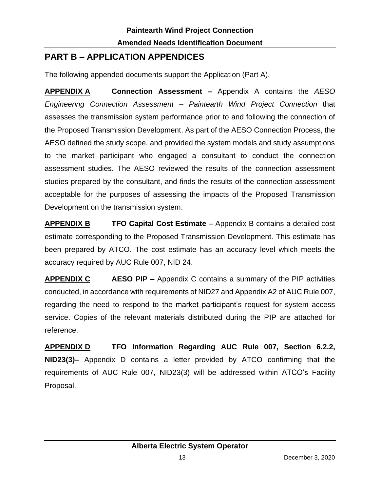# **PART B – APPLICATION APPENDICES**

The following appended documents support the Application (Part A).

**APPENDIX A Connection Assessment –** Appendix A contains the *AESO Engineering Connection Assessment – Paintearth Wind Project Connection* that assesses the transmission system performance prior to and following the connection of the Proposed Transmission Development. As part of the AESO Connection Process, the AESO defined the study scope, and provided the system models and study assumptions to the market participant who engaged a consultant to conduct the connection assessment studies. The AESO reviewed the results of the connection assessment studies prepared by the consultant, and finds the results of the connection assessment acceptable for the purposes of assessing the impacts of the Proposed Transmission Development on the transmission system.

**APPENDIX B TFO Capital Cost Estimate –** Appendix B contains a detailed cost estimate corresponding to the Proposed Transmission Development. This estimate has been prepared by ATCO. The cost estimate has an accuracy level which meets the accuracy required by AUC Rule 007, NID 24.

**APPENDIX C AESO PIP –** Appendix C contains a summary of the PIP activities conducted, in accordance with requirements of NID27 and Appendix A2 of AUC Rule 007, regarding the need to respond to the market participant's request for system access service. Copies of the relevant materials distributed during the PIP are attached for reference.

**APPENDIX D TFO Information Regarding AUC Rule 007, Section 6.2.2, NID23(3)–** Appendix D contains a letter provided by ATCO confirming that the requirements of AUC Rule 007, NID23(3) will be addressed within ATCO's Facility Proposal.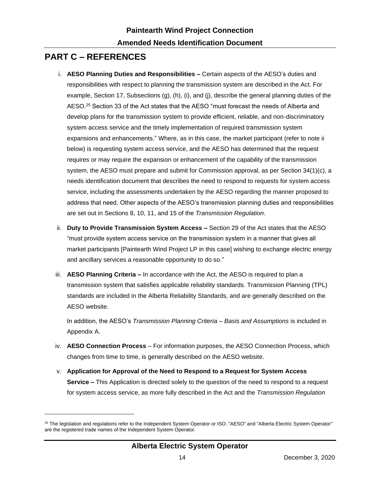### **PART C – REFERENCES**

- i. **AESO Planning Duties and Responsibilities –** Certain aspects of the AESO's duties and responsibilities with respect to planning the transmission system are described in the Act. For example, Section 17, Subsections (g), (h), (i), and (j), describe the general planning duties of the AESO.<sup>25</sup> Section 33 of the Act states that the AESO "must forecast the needs of Alberta and develop plans for the transmission system to provide efficient, reliable, and non-discriminatory system access service and the timely implementation of required transmission system expansions and enhancements." Where, as in this case, the market participant (refer to note ii below) is requesting system access service, and the AESO has determined that the request requires or may require the expansion or enhancement of the capability of the transmission system, the AESO must prepare and submit for Commission approval, as per Section 34(1)(c), a needs identification document that describes the need to respond to requests for system access service, including the assessments undertaken by the AESO regarding the manner proposed to address that need. Other aspects of the AESO's transmission planning duties and responsibilities are set out in Sections 8, 10, 11, and 15 of the *Transmission Regulation*.
- ii. **Duty to Provide Transmission System Access –** Section 29 of the Act states that the AESO "must provide system access service on the transmission system in a manner that gives all market participants [Paintearth Wind Project LP in this case] wishing to exchange electric energy and ancillary services a reasonable opportunity to do so."
- iii. **AESO Planning Criteria –** In accordance with the Act, the AESO is required to plan a transmission system that satisfies applicable reliability standards. Transmission Planning (TPL) standards are included in the Alberta Reliability Standards, and are generally described on the AESO website.

In addition, the AESO's *Transmission Planning Criteria – Basis and Assumptions* is included in Appendix A.

- iv. **AESO Connection Process** For information purposes, the AESO Connection Process, which changes from time to time, is generally described on the AESO website.
- v. **Application for Approval of the Need to Respond to a Request for System Access Service –** This Application is directed solely to the question of the need to respond to a request for system access service, as more fully described in the Act and the *Transmission Regulation*

<sup>&</sup>lt;sup>25</sup> The legislation and regulations refer to the Independent System Operator or ISO. "AESO" and "Alberta Electric System Operator" are the registered trade names of the Independent System Operator.